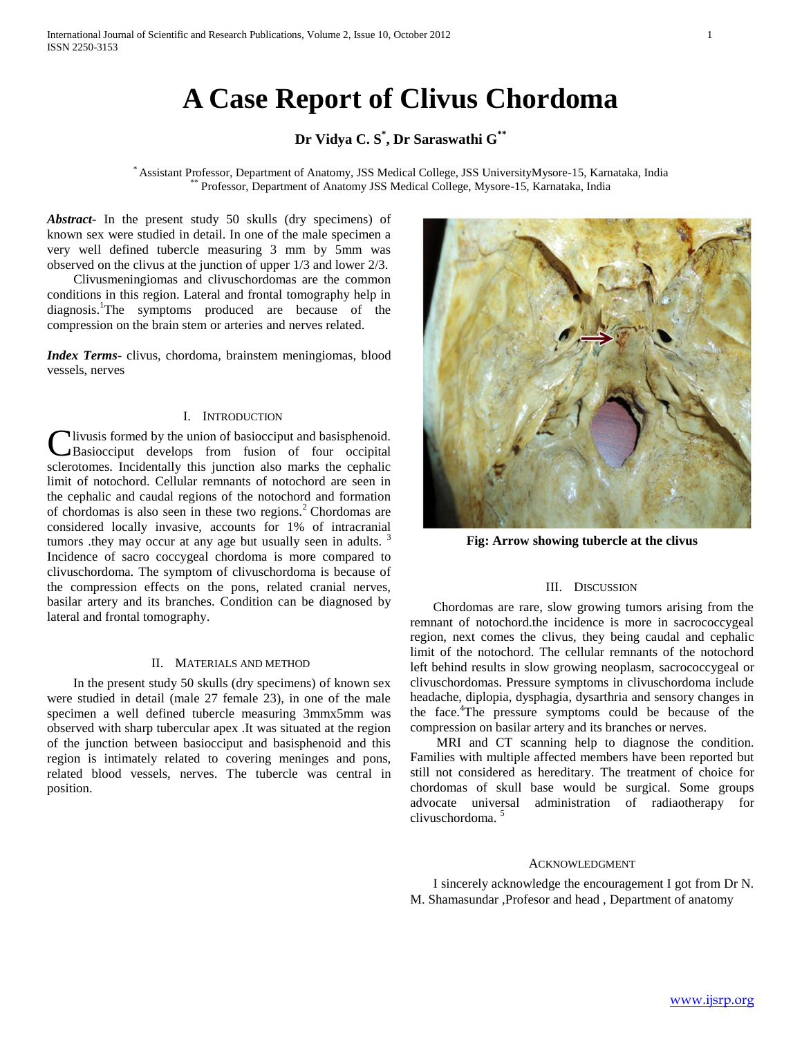# **A Case Report of Clivus Chordoma**

## **Dr Vidya C. S\* , Dr Saraswathi G\*\***

\* Assistant Professor, Department of Anatomy, JSS Medical College, JSS UniversityMysore-15, Karnataka, India \*\* Professor, Department of Anatomy JSS Medical College, Mysore-15, Karnataka, India

*Abstract***-** In the present study 50 skulls (dry specimens) of known sex were studied in detail. In one of the male specimen a very well defined tubercle measuring 3 mm by 5mm was observed on the clivus at the junction of upper 1/3 and lower 2/3.

 Clivusmeningiomas and clivuschordomas are the common conditions in this region. Lateral and frontal tomography help in diagnosis.<sup>1</sup>The symptoms produced are because of the compression on the brain stem or arteries and nerves related.

*Index Terms*- clivus, chordoma, brainstem meningiomas, blood vessels, nerves

### I. INTRODUCTION

livusis formed by the union of basiocciput and basisphenoid. Basiocciput develops from fusion of four occipital **C**livusis formed by the union of basiocciput and basisphenoid.<br>
Basiocciput develops from fusion of four occipital<br>
sclerotomes. Incidentally this junction also marks the cephalic limit of notochord. Cellular remnants of notochord are seen in the cephalic and caudal regions of the notochord and formation of chordomas is also seen in these two regions.<sup>2</sup> Chordomas are considered locally invasive, accounts for 1% of intracranial tumors .they may occur at any age but usually seen in adults.  $3$ Incidence of sacro coccygeal chordoma is more compared to clivuschordoma. The symptom of clivuschordoma is because of the compression effects on the pons, related cranial nerves, basilar artery and its branches. Condition can be diagnosed by lateral and frontal tomography.

#### II. MATERIALS AND METHOD

 In the present study 50 skulls (dry specimens) of known sex were studied in detail (male 27 female 23), in one of the male specimen a well defined tubercle measuring 3mmx5mm was observed with sharp tubercular apex .It was situated at the region of the junction between basiocciput and basisphenoid and this region is intimately related to covering meninges and pons, related blood vessels, nerves. The tubercle was central in position.



**Fig: Arrow showing tubercle at the clivus**

#### III. DISCUSSION

 Chordomas are rare, slow growing tumors arising from the remnant of notochord.the incidence is more in sacrococcygeal region, next comes the clivus, they being caudal and cephalic limit of the notochord. The cellular remnants of the notochord left behind results in slow growing neoplasm, sacrococcygeal or clivuschordomas. Pressure symptoms in clivuschordoma include headache, diplopia, dysphagia, dysarthria and sensory changes in the face.<sup>4</sup>The pressure symptoms could be because of the compression on basilar artery and its branches or nerves.

 MRI and CT scanning help to diagnose the condition. Families with multiple affected members have been reported but still not considered as hereditary. The treatment of choice for chordomas of skull base would be surgical. Some groups advocate universal administration of radiaotherapy for clivuschordoma.<sup>5</sup>

#### ACKNOWLEDGMENT

 I sincerely acknowledge the encouragement I got from Dr N. M. Shamasundar ,Profesor and head , Department of anatomy